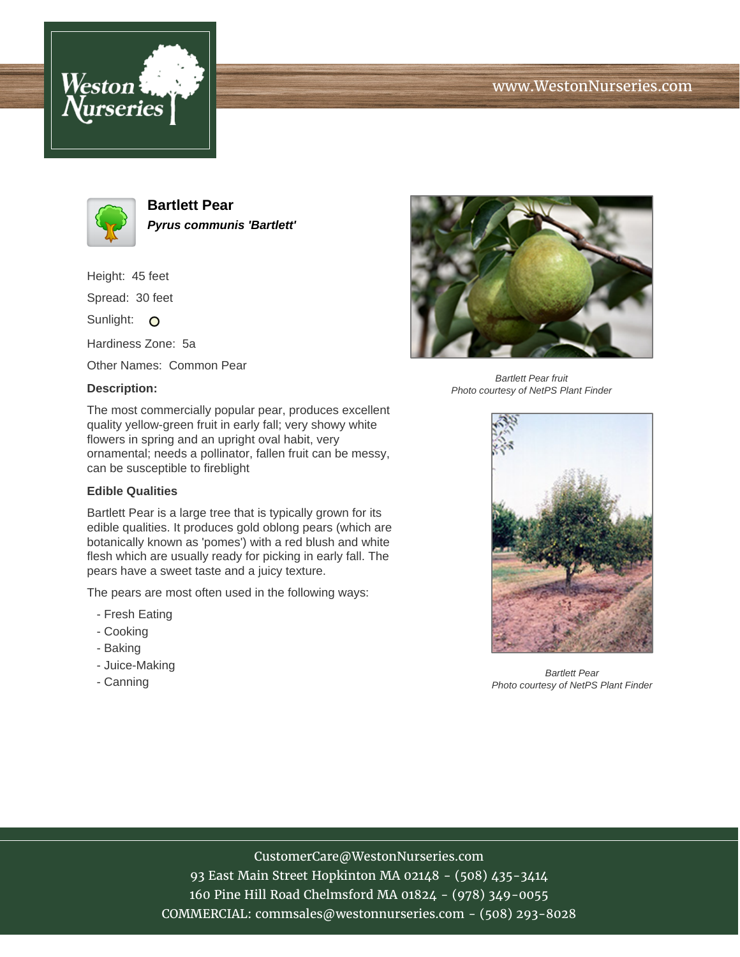





**Bartlett Pear Pyrus communis 'Bartlett'**

Height: 45 feet

Spread: 30 feet

Sunlight: O

Hardiness Zone: 5a

Other Names: Common Pear

### **Description:**

The most commercially popular pear, produces excellent quality yellow-green fruit in early fall; very showy white flowers in spring and an upright oval habit, very ornamental; needs a pollinator, fallen fruit can be messy, can be susceptible to fireblight

#### **Edible Qualities**

Bartlett Pear is a large tree that is typically grown for its edible qualities. It produces gold oblong pears (which are botanically known as 'pomes') with a red blush and white flesh which are usually ready for picking in early fall. The pears have a sweet taste and a juicy texture.

The pears are most often used in the following ways:

- Fresh Eating
- Cooking
- Baking
- Juice-Making
- Canning



Bartlett Pear fruit Photo courtesy of NetPS Plant Finder



Bartlett Pear Photo courtesy of NetPS Plant Finder

# CustomerCare@WestonNurseries.com

93 East Main Street Hopkinton MA 02148 - (508) 435-3414 160 Pine Hill Road Chelmsford MA 01824 - (978) 349-0055 COMMERCIAL: commsales@westonnurseries.com - (508) 293-8028